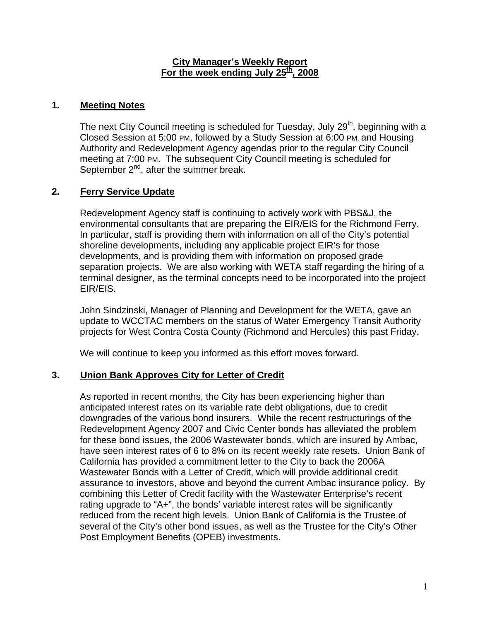#### **City Manager's Weekly Report For the week ending July 25th, 2008**

## **1. Meeting Notes**

The next City Council meeting is scheduled for Tuesday, July 29<sup>th</sup>, beginning with a Closed Session at 5:00 PM, followed by a Study Session at 6:00 PM, and Housing Authority and Redevelopment Agency agendas prior to the regular City Council meeting at 7:00 PM. The subsequent City Council meeting is scheduled for September  $2^{nd}$ , after the summer break.

# **2. Ferry Service Update**

Redevelopment Agency staff is continuing to actively work with PBS&J, the environmental consultants that are preparing the EIR/EIS for the Richmond Ferry. In particular, staff is providing them with information on all of the City's potential shoreline developments, including any applicable project EIR's for those developments, and is providing them with information on proposed grade separation projects. We are also working with WETA staff regarding the hiring of a terminal designer, as the terminal concepts need to be incorporated into the project EIR/EIS.

John Sindzinski, Manager of Planning and Development for the WETA, gave an update to WCCTAC members on the status of Water Emergency Transit Authority projects for West Contra Costa County (Richmond and Hercules) this past Friday.

We will continue to keep you informed as this effort moves forward.

### **3. Union Bank Approves City for Letter of Credit**

As reported in recent months, the City has been experiencing higher than anticipated interest rates on its variable rate debt obligations, due to credit downgrades of the various bond insurers. While the recent restructurings of the Redevelopment Agency 2007 and Civic Center bonds has alleviated the problem for these bond issues, the 2006 Wastewater bonds, which are insured by Ambac, have seen interest rates of 6 to 8% on its recent weekly rate resets. Union Bank of California has provided a commitment letter to the City to back the 2006A Wastewater Bonds with a Letter of Credit, which will provide additional credit assurance to investors, above and beyond the current Ambac insurance policy. By combining this Letter of Credit facility with the Wastewater Enterprise's recent rating upgrade to "A+", the bonds' variable interest rates will be significantly reduced from the recent high levels. Union Bank of California is the Trustee of several of the City's other bond issues, as well as the Trustee for the City's Other Post Employment Benefits (OPEB) investments.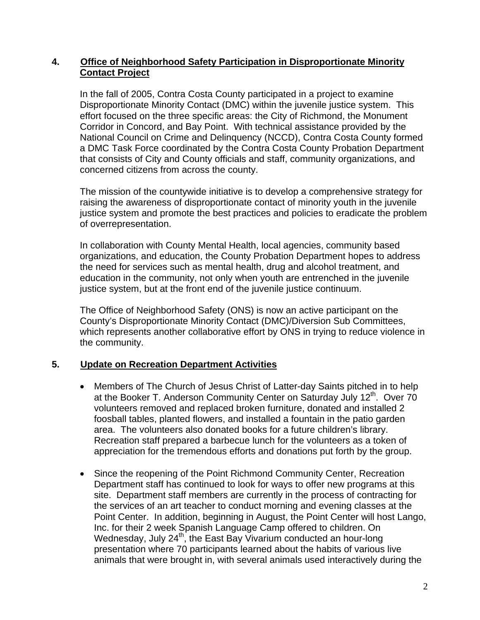### **4. Office of Neighborhood Safety Participation in Disproportionate Minority Contact Project**

In the fall of 2005, Contra Costa County participated in a project to examine Disproportionate Minority Contact (DMC) within the juvenile justice system. This effort focused on the three specific areas: the City of Richmond, the Monument Corridor in Concord, and Bay Point. With technical assistance provided by the National Council on Crime and Delinquency (NCCD), Contra Costa County formed a DMC Task Force coordinated by the Contra Costa County Probation Department that consists of City and County officials and staff, community organizations, and concerned citizens from across the county.

The mission of the countywide initiative is to develop a comprehensive strategy for raising the awareness of disproportionate contact of minority youth in the juvenile justice system and promote the best practices and policies to eradicate the problem of overrepresentation.

In collaboration with County Mental Health, local agencies, community based organizations, and education, the County Probation Department hopes to address the need for services such as mental health, drug and alcohol treatment, and education in the community, not only when youth are entrenched in the juvenile justice system, but at the front end of the juvenile justice continuum.

The Office of Neighborhood Safety (ONS) is now an active participant on the County's Disproportionate Minority Contact (DMC)/Diversion Sub Committees, which represents another collaborative effort by ONS in trying to reduce violence in the community.

### **5. Update on Recreation Department Activities**

- Members of The Church of Jesus Christ of Latter-day Saints pitched in to help at the Booker T. Anderson Community Center on Saturday July 12<sup>th</sup>. Over 70 volunteers removed and replaced broken furniture, donated and installed 2 foosball tables, planted flowers, and installed a fountain in the patio garden area. The volunteers also donated books for a future children's library. Recreation staff prepared a barbecue lunch for the volunteers as a token of appreciation for the tremendous efforts and donations put forth by the group.
- Since the reopening of the Point Richmond Community Center, Recreation Department staff has continued to look for ways to offer new programs at this site. Department staff members are currently in the process of contracting for the services of an art teacher to conduct morning and evening classes at the Point Center. In addition, beginning in August, the Point Center will host Lango, Inc. for their 2 week Spanish Language Camp offered to children. On Wednesday, July  $24^{\text{th}}$ , the East Bay Vivarium conducted an hour-long presentation where 70 participants learned about the habits of various live animals that were brought in, with several animals used interactively during the